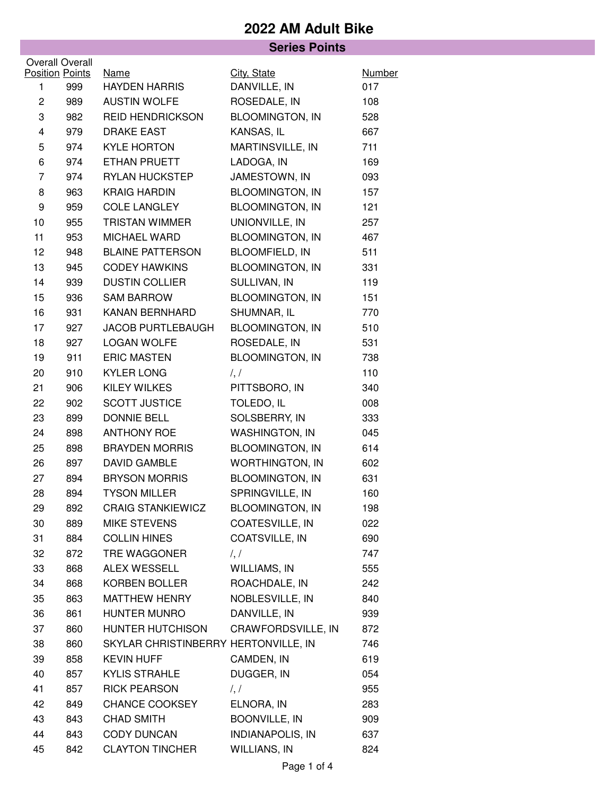## **2022 AM Adult Bike**

| <b>Series Points</b>                   |     |                                      |                             |                      |  |
|----------------------------------------|-----|--------------------------------------|-----------------------------|----------------------|--|
| <b>Overall Overall</b>                 |     |                                      |                             |                      |  |
| <b>Position Points</b><br>$\mathbf{1}$ | 999 | <b>Name</b><br><b>HAYDEN HARRIS</b>  | City, State<br>DANVILLE, IN | <b>Number</b><br>017 |  |
| $\overline{\mathbf{c}}$                | 989 | <b>AUSTIN WOLFE</b>                  | ROSEDALE, IN                | 108                  |  |
| 3                                      | 982 | <b>REID HENDRICKSON</b>              | <b>BLOOMINGTON, IN</b>      | 528                  |  |
| 4                                      | 979 | <b>DRAKE EAST</b>                    | KANSAS, IL                  | 667                  |  |
| 5                                      | 974 | <b>KYLE HORTON</b>                   | MARTINSVILLE, IN            | 711                  |  |
| 6                                      | 974 | ETHAN PRUETT                         | LADOGA, IN                  | 169                  |  |
| $\overline{7}$                         | 974 | <b>RYLAN HUCKSTEP</b>                | JAMESTOWN, IN               | 093                  |  |
| 8                                      | 963 | <b>KRAIG HARDIN</b>                  | <b>BLOOMINGTON, IN</b>      | 157                  |  |
| 9                                      | 959 | <b>COLE LANGLEY</b>                  | <b>BLOOMINGTON, IN</b>      | 121                  |  |
| 10                                     | 955 | <b>TRISTAN WIMMER</b>                | UNIONVILLE, IN              | 257                  |  |
| 11                                     | 953 | MICHAEL WARD                         | <b>BLOOMINGTON, IN</b>      | 467                  |  |
| 12                                     | 948 | <b>BLAINE PATTERSON</b>              | <b>BLOOMFIELD, IN</b>       | 511                  |  |
| 13                                     | 945 | <b>CODEY HAWKINS</b>                 | <b>BLOOMINGTON, IN</b>      | 331                  |  |
| 14                                     | 939 | <b>DUSTIN COLLIER</b>                | SULLIVAN, IN                | 119                  |  |
| 15                                     | 936 | <b>SAM BARROW</b>                    | <b>BLOOMINGTON, IN</b>      | 151                  |  |
| 16                                     | 931 | <b>KANAN BERNHARD</b>                | SHUMNAR, IL                 | 770                  |  |
| 17                                     | 927 | <b>JACOB PURTLEBAUGH</b>             | <b>BLOOMINGTON, IN</b>      | 510                  |  |
| 18                                     | 927 | <b>LOGAN WOLFE</b>                   | ROSEDALE, IN                | 531                  |  |
| 19                                     | 911 | <b>ERIC MASTEN</b>                   | <b>BLOOMINGTON, IN</b>      | 738                  |  |
| 20                                     | 910 | <b>KYLER LONG</b>                    | $\frac{1}{2}$               | 110                  |  |
| 21                                     | 906 | KILEY WILKES                         | PITTSBORO, IN               | 340                  |  |
| 22                                     | 902 | <b>SCOTT JUSTICE</b>                 | TOLEDO, IL                  | 008                  |  |
| 23                                     | 899 | <b>DONNIE BELL</b>                   | SOLSBERRY, IN               | 333                  |  |
| 24                                     | 898 | <b>ANTHONY ROE</b>                   | <b>WASHINGTON, IN</b>       | 045                  |  |
| 25                                     | 898 | <b>BRAYDEN MORRIS</b>                | <b>BLOOMINGTON, IN</b>      | 614                  |  |
| 26                                     | 897 | <b>DAVID GAMBLE</b>                  | <b>WORTHINGTON, IN</b>      | 602                  |  |
| 27                                     | 894 | <b>BRYSON MORRIS</b>                 | <b>BLOOMINGTON, IN</b>      | 631                  |  |
| 28                                     | 894 | <b>TYSON MILLER</b>                  | SPRINGVILLE, IN             | 160                  |  |
| 29                                     | 892 | <b>CRAIG STANKIEWICZ</b>             | <b>BLOOMINGTON, IN</b>      | 198                  |  |
| 30                                     | 889 | MIKE STEVENS                         | COATESVILLE, IN             | 022                  |  |
| 31                                     | 884 | <b>COLLIN HINES</b>                  | COATSVILLE, IN              | 690                  |  |
| 32                                     | 872 | TRE WAGGONER                         | $\frac{1}{2}$               | 747                  |  |
| 33                                     | 868 | ALEX WESSELL                         | WILLIAMS, IN                | 555                  |  |
| 34                                     | 868 | KORBEN BOLLER                        | ROACHDALE, IN               | 242                  |  |
| 35                                     | 863 | <b>MATTHEW HENRY</b>                 | NOBLESVILLE, IN             | 840                  |  |
| 36                                     | 861 | HUNTER MUNRO                         | DANVILLE, IN                | 939                  |  |
| 37                                     | 860 | HUNTER HUTCHISON                     | CRAWFORDSVILLE, IN          | 872                  |  |
| 38                                     | 860 | SKYLAR CHRISTINBERRY HERTONVILLE, IN |                             | 746                  |  |
| 39                                     | 858 | <b>KEVIN HUFF</b>                    | CAMDEN, IN                  | 619                  |  |
| 40                                     | 857 | <b>KYLIS STRAHLE</b>                 | DUGGER, IN                  | 054                  |  |
| 41                                     | 857 | <b>RICK PEARSON</b>                  | $\frac{1}{2}$               | 955                  |  |
| 42                                     | 849 | <b>CHANCE COOKSEY</b>                | ELNORA, IN                  | 283                  |  |
| 43                                     | 843 | <b>CHAD SMITH</b>                    | <b>BOONVILLE, IN</b>        | 909                  |  |
| 44                                     | 843 | CODY DUNCAN                          | <b>INDIANAPOLIS, IN</b>     | 637                  |  |
| 45                                     | 842 | <b>CLAYTON TINCHER</b>               | WILLIANS, IN                | 824                  |  |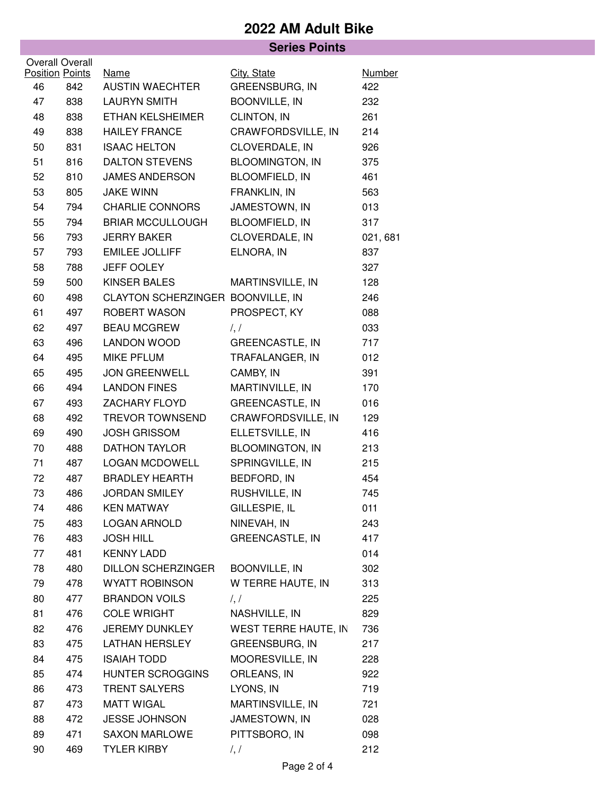## **2022 AM Adult Bike**

|                        |     | <b>Series Points</b>              |                        |               |
|------------------------|-----|-----------------------------------|------------------------|---------------|
| <b>Overall Overall</b> |     |                                   |                        |               |
| <b>Position Points</b> |     | <b>Name</b>                       | City, State            | <b>Number</b> |
| 46                     | 842 | <b>AUSTIN WAECHTER</b>            | GREENSBURG, IN         | 422           |
| 47                     | 838 | <b>LAURYN SMITH</b>               | <b>BOONVILLE, IN</b>   | 232           |
| 48                     | 838 | ETHAN KELSHEIMER                  | CLINTON, IN            | 261           |
| 49                     | 838 | <b>HAILEY FRANCE</b>              | CRAWFORDSVILLE, IN     | 214           |
| 50                     | 831 | <b>ISAAC HELTON</b>               | CLOVERDALE, IN         | 926           |
| 51                     | 816 | <b>DALTON STEVENS</b>             | <b>BLOOMINGTON, IN</b> | 375           |
| 52                     | 810 | <b>JAMES ANDERSON</b>             | <b>BLOOMFIELD, IN</b>  | 461           |
| 53                     | 805 | <b>JAKE WINN</b>                  | FRANKLIN, IN           | 563           |
| 54                     | 794 | <b>CHARLIE CONNORS</b>            | JAMESTOWN, IN          | 013           |
| 55                     | 794 | <b>BRIAR MCCULLOUGH</b>           | <b>BLOOMFIELD, IN</b>  | 317           |
| 56                     | 793 | <b>JERRY BAKER</b>                | CLOVERDALE, IN         | 021, 681      |
| 57                     | 793 | <b>EMILEE JOLLIFF</b>             | ELNORA, IN             | 837           |
| 58                     | 788 | <b>JEFF OOLEY</b>                 |                        | 327           |
| 59                     | 500 | KINSER BALES                      | MARTINSVILLE, IN       | 128           |
| 60                     | 498 | CLAYTON SCHERZINGER BOONVILLE, IN |                        | 246           |
| 61                     | 497 | <b>ROBERT WASON</b>               | PROSPECT, KY           | 088           |
| 62                     | 497 | <b>BEAU MCGREW</b>                | $\frac{1}{2}$          | 033           |
| 63                     | 496 | <b>LANDON WOOD</b>                | <b>GREENCASTLE, IN</b> | 717           |
| 64                     | 495 | <b>MIKE PFLUM</b>                 | TRAFALANGER, IN        | 012           |
| 65                     | 495 | <b>JON GREENWELL</b>              | CAMBY, IN              | 391           |
| 66                     | 494 | <b>LANDON FINES</b>               | MARTINVILLE, IN        | 170           |
| 67                     | 493 | <b>ZACHARY FLOYD</b>              | <b>GREENCASTLE, IN</b> | 016           |
| 68                     | 492 | <b>TREVOR TOWNSEND</b>            | CRAWFORDSVILLE, IN     | 129           |
| 69                     | 490 | <b>JOSH GRISSOM</b>               | ELLETSVILLE, IN        | 416           |
| 70                     | 488 | <b>DATHON TAYLOR</b>              | <b>BLOOMINGTON, IN</b> | 213           |
| 71                     | 487 | <b>LOGAN MCDOWELL</b>             | SPRINGVILLE, IN        | 215           |
| 72                     | 487 | <b>BRADLEY HEARTH</b>             | BEDFORD, IN            | 454           |
| 73                     | 486 | <b>JORDAN SMILEY</b>              | RUSHVILLE, IN          | 745           |
| 74                     | 486 | <b>KEN MATWAY</b>                 | GILLESPIE, IL          | 011           |
| 75                     | 483 | <b>LOGAN ARNOLD</b>               | NINEVAH, IN            | 243           |
| 76                     | 483 | <b>JOSH HILL</b>                  | <b>GREENCASTLE, IN</b> | 417           |
| 77                     | 481 | <b>KENNY LADD</b>                 |                        | 014           |
| 78                     | 480 | <b>DILLON SCHERZINGER</b>         | <b>BOONVILLE, IN</b>   | 302           |
| 79                     | 478 | <b>WYATT ROBINSON</b>             | W TERRE HAUTE, IN      | 313           |
| 80                     | 477 | <b>BRANDON VOILS</b>              | $\frac{1}{2}$          | 225           |
| 81                     | 476 | <b>COLE WRIGHT</b>                | NASHVILLE, IN          | 829           |
| 82                     | 476 | JEREMY DUNKLEY                    | WEST TERRE HAUTE, IN   | 736           |
| 83                     | 475 | <b>LATHAN HERSLEY</b>             | <b>GREENSBURG, IN</b>  | 217           |
| 84                     | 475 | <b>ISAIAH TODD</b>                | MOORESVILLE, IN        | 228           |
| 85                     | 474 | HUNTER SCROGGINS                  | ORLEANS, IN            | 922           |
| 86                     | 473 | <b>TRENT SALYERS</b>              | LYONS, IN              | 719           |
| 87                     | 473 | <b>MATT WIGAL</b>                 | MARTINSVILLE, IN       | 721           |
| 88                     | 472 | JESSE JOHNSON                     | JAMESTOWN, IN          | 028           |
| 89                     | 471 | <b>SAXON MARLOWE</b>              | PITTSBORO, IN          | 098           |
| 90                     | 469 | <b>TYLER KIRBY</b>                | $\frac{1}{2}$          | 212           |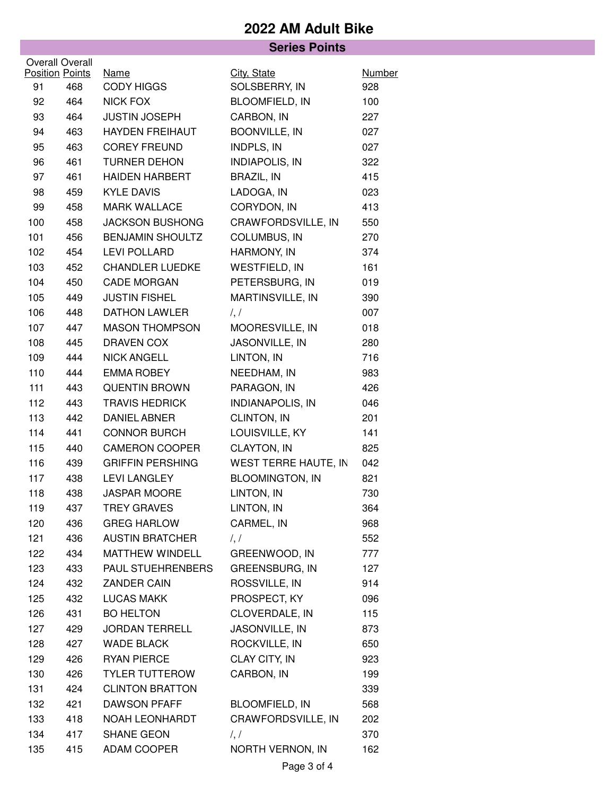## **2022 AM Adult Bike**

|                 |                        | <b>Series Points</b>    |                         |               |  |
|-----------------|------------------------|-------------------------|-------------------------|---------------|--|
| Overall Overall |                        |                         |                         |               |  |
|                 | <b>Position Points</b> | <b>Name</b>             | City, State             | <b>Number</b> |  |
| 91              | 468                    | <b>CODY HIGGS</b>       | SOLSBERRY, IN           | 928           |  |
| 92              | 464                    | <b>NICK FOX</b>         | BLOOMFIELD, IN          | 100           |  |
| 93              | 464                    | <b>JUSTIN JOSEPH</b>    | CARBON, IN              | 227           |  |
| 94              | 463                    | <b>HAYDEN FREIHAUT</b>  | BOONVILLE, IN           | 027           |  |
| 95              | 463                    | <b>COREY FREUND</b>     | INDPLS, IN              | 027           |  |
| 96              | 461                    | <b>TURNER DEHON</b>     | <b>INDIAPOLIS, IN</b>   | 322           |  |
| 97              | 461                    | <b>HAIDEN HARBERT</b>   | <b>BRAZIL, IN</b>       | 415           |  |
| 98              | 459                    | <b>KYLE DAVIS</b>       | LADOGA, IN              | 023           |  |
| 99              | 458                    | <b>MARK WALLACE</b>     | CORYDON, IN             | 413           |  |
| 100             | 458                    | <b>JACKSON BUSHONG</b>  | CRAWFORDSVILLE, IN      | 550           |  |
| 101             | 456                    | <b>BENJAMIN SHOULTZ</b> | COLUMBUS, IN            | 270           |  |
| 102             | 454                    | <b>LEVI POLLARD</b>     | HARMONY, IN             | 374           |  |
| 103             | 452                    | <b>CHANDLER LUEDKE</b>  | <b>WESTFIELD, IN</b>    | 161           |  |
| 104             | 450                    | <b>CADE MORGAN</b>      | PETERSBURG, IN          | 019           |  |
| 105             | 449                    | <b>JUSTIN FISHEL</b>    | MARTINSVILLE, IN        | 390           |  |
| 106             | 448                    | <b>DATHON LAWLER</b>    | $\frac{1}{2}$           | 007           |  |
| 107             | 447                    | <b>MASON THOMPSON</b>   | MOORESVILLE, IN         | 018           |  |
| 108             | 445                    | DRAVEN COX              | JASONVILLE, IN          | 280           |  |
| 109             | 444                    | <b>NICK ANGELL</b>      | LINTON, IN              | 716           |  |
| 110             | 444                    | <b>EMMA ROBEY</b>       | NEEDHAM, IN             | 983           |  |
| $111$           | 443                    | <b>QUENTIN BROWN</b>    | PARAGON, IN             | 426           |  |
| 112             | 443                    | <b>TRAVIS HEDRICK</b>   | <b>INDIANAPOLIS, IN</b> | 046           |  |
| 113             | 442                    | <b>DANIEL ABNER</b>     | CLINTON, IN             | 201           |  |
| 114             | 441                    | <b>CONNOR BURCH</b>     | LOUISVILLE, KY          | 141           |  |
| 115             | 440                    | <b>CAMERON COOPER</b>   | CLAYTON, IN             | 825           |  |
| 116             | 439                    | <b>GRIFFIN PERSHING</b> | WEST TERRE HAUTE, IN    | 042           |  |
| 117             | 438                    | <b>LEVI LANGLEY</b>     | <b>BLOOMINGTON, IN</b>  | 821           |  |
| 118             | 438                    | <b>JASPAR MOORE</b>     | LINTON, IN              | 730           |  |
| 119             | 437                    | <b>TREY GRAVES</b>      | LINTON, IN              | 364           |  |
| 120             | 436                    | <b>GREG HARLOW</b>      | CARMEL, IN              | 968           |  |
| 121             | 436                    | <b>AUSTIN BRATCHER</b>  | $\frac{1}{2}$           | 552           |  |
| 122             | 434                    | MATTHEW WINDELL         | GREENWOOD, IN           | 777           |  |
| 123             | 433                    | PAUL STUEHRENBERS       | GREENSBURG, IN          | 127           |  |
| 124             | 432                    | <b>ZANDER CAIN</b>      | ROSSVILLE, IN           | 914           |  |
| 125             | 432                    | <b>LUCAS MAKK</b>       | PROSPECT, KY            | 096           |  |
| 126             | 431                    | <b>BO HELTON</b>        | CLOVERDALE, IN          | 115           |  |
| 127             | 429                    | <b>JORDAN TERRELL</b>   | JASONVILLE, IN          | 873           |  |
| 128             | 427                    | <b>WADE BLACK</b>       | ROCKVILLE, IN           | 650           |  |
| 129             | 426                    | <b>RYAN PIERCE</b>      | CLAY CITY, IN           | 923           |  |
| 130             | 426                    | <b>TYLER TUTTEROW</b>   | CARBON, IN              | 199           |  |
| 131             | 424                    | <b>CLINTON BRATTON</b>  |                         | 339           |  |
| 132             | 421                    | <b>DAWSON PFAFF</b>     | <b>BLOOMFIELD, IN</b>   | 568           |  |
| 133             | 418                    | NOAH LEONHARDT          | CRAWFORDSVILLE, IN      | 202           |  |
| 134             | 417                    | SHANE GEON              | $\frac{1}{2}$           | 370           |  |
| 135             | 415                    | ADAM COOPER             | NORTH VERNON, IN        | 162           |  |